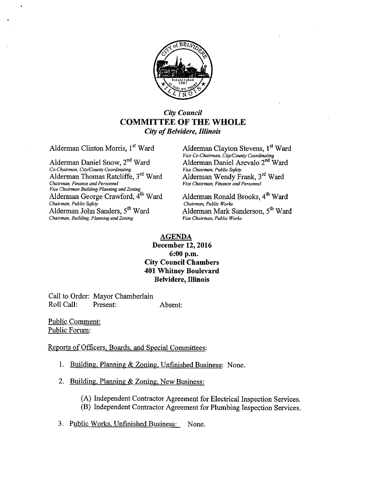

# City Council COMMITTEE OF THE WHOLE City of Belvidere, Illinois

Alderman Clinton Morris, 1<sup>st</sup> Ward Alderman Clayton Stevens, 1<sup>st</sup> Ward

Co-Chairman, City/County Coordinating Alderman Thomas Ratcliffe, 3<sup>rd</sup> Ward Chairman, Finance and Personnel Ward Alderman Wendy Frank, 3`d Ward Chairman, Finance and Personnel Vire Chairman, Finance and Personnel *Vice Chairman Building Planning and Zoning*<br>Alderman George Crawford, 4<sup>th</sup> Ward Chairman, Public Safety<br>Alderman, John Sanders, 5<sup>th</sup> Ward Chairman, Building, Planning and Zoning

Vice Co-Chairman, City/County Coordinating Alderman Daniel Snow,  $2^{nd}$  Ward Alderman Daniel Arevalo  $2^{nd}$  Ward Co-Chairman, City/County Coordinating Vice Chairman, Public Safety

> Alderman Ronald Brooks, 4<sup>th</sup> Ward Chairman, Public Works Alderman Mark Sanderson, 5<sup>th</sup> Ward Vice Chairman Public Works

#### AGENDA December 12, 2016 6: 00 p.m. City Council Chambers 401 Whitney Boulevard Belvidere, Illinois

Call to Order: Mayor Chamberlain Roll Call: Present: Absent:

Public Comment: Public Forum:

Reports of Officers. Boards, and Special Committees:

- 1. Building, Planning & Zoning, Unfinished Business: None.
- 2. Building, Planning & Zoning, New Business:
	- A) Independent Contractor Agreement for Electrical Inspection Services.
	- B) Independent Contractor Agreement for Plumbing Inspection Services.
- 3. Public Works, Unfinished Business: None.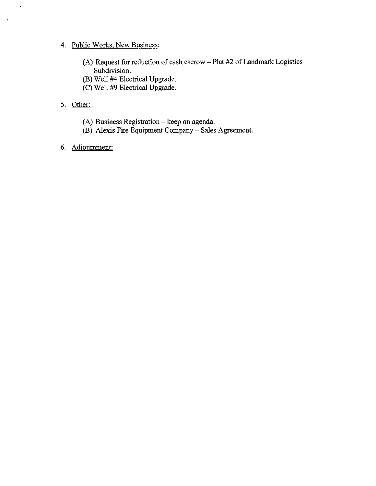# 4. Public Works, New Business:

- (A) Request for reduction of cash escrow Plat #2 of Landmark Logistics Subdivision.
- B) Well #4 Electrical Upgrade.
- C) Well #9 Electrical Upgrade.

# 5. Other:

 $\hat{\mathbf{r}}$ 

 $\ddot{\phantom{0}}$ 

- A) Business Registration— keep on agenda.
- B) Alexis Fire Equipment Company— Sales Agreement.
- 6. Adiournment: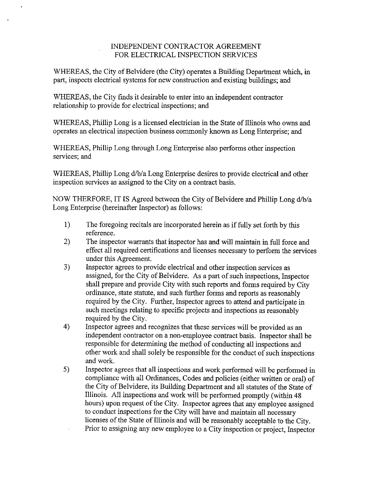#### INDEPENDENT CONTRACTOR AGREEMENT FOR ELECTRICAL INSPECTION SERVICES

WHEREAS, the City of Belvidere (the City) operates a Building Department which, in part, inspects electrical systems for new construction and existing buildings; and

WHEREAS, the City finds it desirable to enter into an independent contractor relationship to provide for electrical inspections; and

WHEREAS, Phillip Long is <sup>a</sup> licensed electrician in the State of Illinois who owns and operates an electrical inspection business commonly known as Long Enterprise; and

WHEREAS, Phillip Long through Long Enterprise also performs other inspection services; and

WHEREAS, Phillip Long d/b/a Long Enterprise desires to provide electrical and other inspection services as assigned to the City on a contract basis.

NOW THERFORE, IT IS Agreed between the City of Belvidere and Phillip Long d/b/a Long Enterprise (hereinafter Inspector) as follows:

- 1) The foregoing recitals are incorporated herein as if fully set forth by this reference.
- 2) The inspector warrants that inspector has and will maintain in full force and effect all required certifications and licenses necessary to perform the services under this Agreement.
- 3) Inspector agrees to provide electrical and other inspection services as assigned, for the City of Belvidere. As <sup>a</sup> part of such inspections, Inspector shall prepare and provide City with such reports and forms required by City ordinance, state statute, and such further forms and reports as reasonably required by the City. Further, Inspector agrees to attend and participate in such meetings relating to specific projects and inspections as reasonably required by the City.
- 4) Inspector agrees and recognizes that these services will be provided as an independent contractor on a non-employee contract basis. Inspector shall be responsible for determining the method of conducting all inspections and other work and shall solely be responsible for the conduct of such inspections and work.
- 5) Inspector agrees that all inspections and work performed will be performed in compliance with all Ordinances, Codes and policies (either written or oral) of the City of Belvidere, its Building Department and all statutes of the State of Illinois. All inspections and work will be performed promptly( within 48 hours) upon request of the City. Inspector agrees that any employee assigned to conduct inspections for the City will have and maintain all necessary licenses of the State of Illinois and will be reasonably acceptable to the City. Prior to assigning any new employee to <sup>a</sup> City inspection or project, Inspector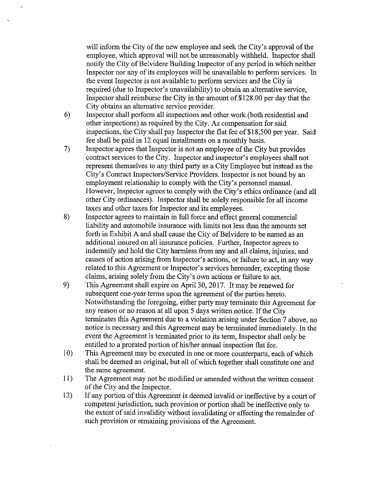will inform the City of the new employee and seek the City's approval of the employee, which approval will not be unreasonably withheld. Inspector shall notify the City of Belvidere Building Inspector of any period in which neither Inspector nor any of its employees will be unavailable to perform services. In the event Inspector is not available to perform services and the City is required (due to Inspector's unavailability) to obtain an alternative service, Inspector shall reimburse the City in the amount of \$128.00 per day that the City obtains an alternative service provider.

- 6) Inspector shall perform all inspections and other work (both residential and other inspections) as required by the City. As compensation for said inspections, the City shall pay Inspector the flat fee of \$18,500 per year. Said fee shall be paid in 12 equal installments on a monthly basis.
- 7) Inspector agrees that Inspector is not an employee of the City but provides contract services to the City. Inspector and inspector's employees shall not represent themselves to any third party as a City Employee but instead as the City's Contract Inspectors/Service Providers. Inspector is not bound by an employment relationship to comply with the City's personnel manual. However, Inspector agrees to comply with the City's ethics ordinance (and all other City ordinances). Inspector shall be solely responsible for all income taxes and other taxes for Inspector and its employees.
- 8) Inspector agrees to maintain in full force and effect general commercial liability and automobile insurance with limits not less than the amounts set forth in Exhibit A and shall cause the City of Belvidere to be named as an additional insured on all insurance policies. Further, Inspector agrees to indemnify and hold the City harmless from any and all claims, injuries, and causes of action arising from Inspector's actions, or failure to act, in any way related to this Agreement or Inspector's services hereunder, excepting those claims, arising solely from the City' <sup>s</sup> own actions or failure to act.
- 9) This Agreement shall expire on April 30, 2017. It may be renewed for subsequent one-year terms upon the agreement of the parties hereto. Notwithstanding the foregoing, either party may terminate this Agreement for any reason or no reason at all upon 5 days written notice. If the City terminates this Agreement due to a violation arising under Section 7 above, no notice is necessary and this Agreement may be terminated immediately. In the event the Agreement is terminated prior to its term, Inspector shall only be entitled to <sup>a</sup> prorated portion of his/her annual inspection flat fee.
- 10) This Agreement may be executed in one or more counterparts, each of which shall be deemed an original, but all of which together shall constitute one and the same agreement.
- 11) The Agreement may not be modified or amended without the written consent of the City and the Inspector.
- 12) If any portion of this Agreement is deemed invalid or ineffective by <sup>a</sup> court of competent jurisdiction, such provision or portion shall be ineffective only to the extent of said invalidity without invalidating or affecting the remainder of such provision or remaining provisions of the Agreement.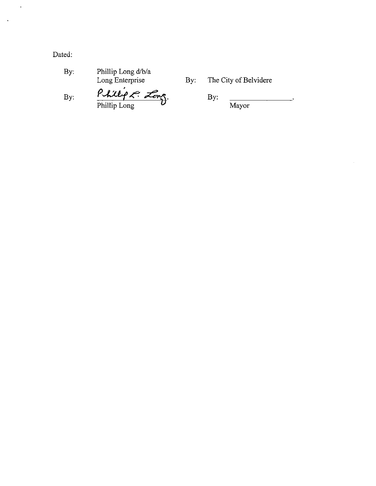Dated:

 $\langle \rangle$ 

 $\ddot{\phantom{a}}$ 

| By: | Phillip Long d/b/a |
|-----|--------------------|
|     | Long Enterprise    |

Long Enterprise By: The City of Belvidere

 $By:$  Phillips  $\overline{\mathcal{L}}_{exp}$  By: Phillip Long  $\boldsymbol{\nu}$  Mayor

 $\overline{a}$ 

 $\hat{\boldsymbol{\gamma}}$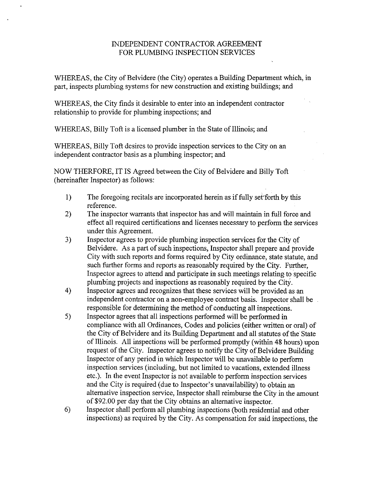#### INDEPENDENT CONTRACTOR AGREEMENT FOR PLUMBING INSPECTION SERVICES

WHEREAS, the City of Belvidere (the City) operates a Building Department which, in part, inspects plumbing systems for new construction and existing buildings; and

WHEREAS, the City finds it desirable to enter into an independent contractor relationship to provide for plumbing inspections; and

WHEREAS, Billy Toft is a licensed plumber in the State of Illinois; and

WHEREAS, Billy Toft desires to provide inspection services to the City on an independent contractor basis as a plumbing inspector; and

NOW THERFORE, IT IS Agreed between the City of Belvidere and Billy Toft hereinafter Inspector) as follows:

- 1) The foregoing recitals are incorporated herein as if fully set forth by this reference.
- 2) The inspector warrants that inspector has and will maintain in full force and effect all required certifications and licenses necessary to perform the services under this Agreement.
- 3) Inspector agrees to provide plumbing inspection services for the City of Belvidere. As a part of such inspections, Inspector shall prepare and provide City with such reports and forms required by City ordinance, state statute, and such further forms and reports as reasonably required by the City. Further, Inspector agrees to attend and participate in such meetings relating to specific plumbing projects and inspections as reasonably required by the City.
- 4) Inspector agrees and recognizes that these services will be provided as an independent contractor on a non-employee contract basis. Inspector shall be responsible for determining the method of conducting all inspections.
- 5) Inspector agrees that all inspections performed will be performed in compliance with all Ordinances, Codes and policies (either written or oral) of the City of Belvidere and its Building Department and all statutes of the State of Illinois. All inspections will be performed promptly (within 48 hours) upon request of the City. Inspector agrees to notify the City of Belvidere Building Inspector of any period in which Inspector will be unavailable to perform inspection services (including, but not limited to vacations, extended illness etc.). In the event Inspector is not available to perform inspection services and the City is required (due to Inspector's unavailability) to obtain an alternative inspection service, Inspector shall reimburse the City in the amount of\$92.00 per day that the City obtains an alternative inspector.
- 6) Inspector shall perform all plumbing inspections (both residential and other inspections) as required by the City. As compensation for said inspections, the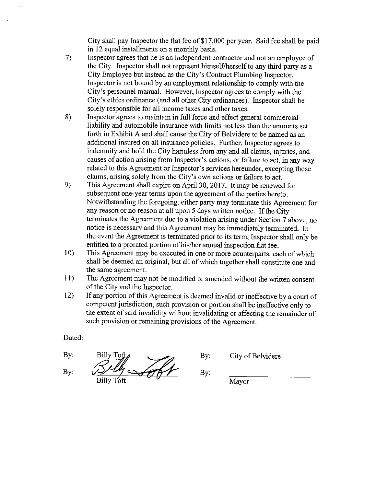City shall pay Inspector the flat fee of \$17,000 per year. Said fee shall be paid in 12 equal installments on a monthly basis.

- 7) Inspector agrees that he is an independent contractor and not an employee of the City. Inspector shall not represent himself/herself to any third party as a City Employee but instead as the City' <sup>s</sup> Contract Plumbing Inspector. Inspector is not bound by an employment relationship to comply with the City's personnel manual. However, Inspector agrees to comply with the City's ethics ordinance (and all other City ordinances). Inspector shall be solely responsible for all income taxes and other taxes.
- 8) Inspector agrees to maintain in full force and effect general commercial liability and automobile insurance with limits not less than the amounts set forth in Exhibit A and shall cause the City of Belvidere to be named as an additional insured on all insurance policies. Further, Inspector agrees to indemnify and hold the City harmless from any and all claims, injuries, and causes of action arising from Inspector's actions, or failure to act, in any way related to this Agreement or Inspector's services hereunder, excepting those claims, arising solely from the City' <sup>s</sup> own actions or failure to act.
- 9) This Agreement shall expire on April 30, 2017. It may be renewed for subsequent one-year terms upon the agreement of the parties hereto. Notwithstanding the foregoing, either party may terminate this Agreement for any reason or no reason at all upon 5 days written notice. If the City terminates the Agreement due to a violation arising under Section 7 above, no notice is necessary and this Agreement may be immediately terminated. In the event the Agreement is terminated prior to its term, Inspector shall only be entitled to <sup>a</sup> prorated portion of his/her annual inspection flat fee.
- 10) This Agreement may be executed in one or more counterparts, each of which shall be deemed an original, but all of which together shall constitute one and the same agreement.
- 11) The Agreement may not be modified or amended without the written consent of the City and the Inspector.
- 12) If any portion of this Agreement is deemed invalid or ineffective by <sup>a</sup> court of competent jurisdiction, such provision or portion shall be ineffective only to the extent of said invalidity without invalidating or affecting the remainder of such provision or remaining provisions of the Agreement.

Dated:

By: Billy Toff By:  $\mathcal{B}\mathcal{U}\mathcal{U}\longrightarrow\mathcal{B}\mathcal{U}$  By:  $\frac{1}{\text{Billy}}$  Toft  $\frac{1}{\text{Mayor}}$ 

By: City of Belvidere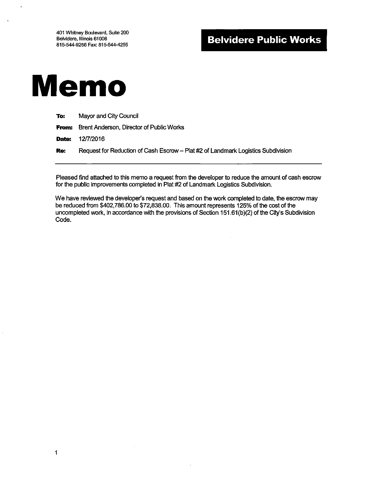# Belvidere Public Works



 $\ddot{\phantom{a}}$ 

1

| To: | Mayor and City Council                                                           |
|-----|----------------------------------------------------------------------------------|
|     | <b>From:</b> Brent Anderson, Director of Public Works                            |
|     | <b>Date: 12/7/2016</b>                                                           |
| Re: | Request for Reduction of Cash Escrow - Plat #2 of Landmark Logistics Subdivision |
|     |                                                                                  |

Pleased find attached to this memo a request from the developer to reduce the amount of cash escrow for the public improvements completed in Plat #2 of Landmark Logistics Subdivision.

We have reviewed the developer's request and based on the work completed to date, the escrow may be reduced from \$402,786.00 to \$72,838.00. This amount represents 125% of the cost of the uncompleted work, in accordance with the provisions of Section 151.61(b)(2) of the City's Subdivision Code.

 $\alpha$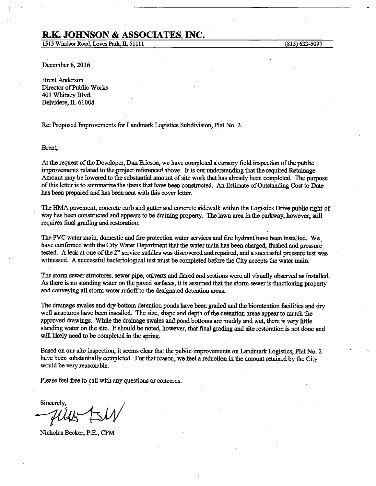# R.K. JOHNSON & ASSOCIATES, INC.

1515 Windsor Road, Loves Park, IL 61111 (815) 633-5097

December 6, 2016

Brent Anderson Director of Public Works 401 Whitney Blvd. Belvidere, IL 61008

Re: Proposed Improvements for Landmark Logistics Subdivision, Plat No. 2

Brent,

At the request of the Developer, Dan Ericson, we have completed a cursory field inspection of the public improvements related to the;project referenced above. It is our understanding that the required Retainage Amount may be lowered to the substantial amount of site work that has already been completed. The purpose of this letter is to summarize the items that have been constructed, An Estimate ofOutstanding Cost to Date has been prepared and has been sent with this cover letter.

The HMA pavement, concrete curb and gutter and concrete sidewalk within the Logistics Drive public right-of- way has been constructed and appears to be draining property. The lawn area in the parkway, however, still requires final grading and restoration.

The PVC water main, domestic and fire protection water services and fire hydrant have been installed. We. have confirmed with the City Water Department that the water main has been charged, flushed and pressure tested. A leak at one of the 2" service saddles was discovered and repaired, and a successful pressure test was witnessed. A successful bacteriological test must be completed before the City accepts the water main.

The storm sewer structures, sewer pipe, culverts and flared end sections were all visually observed as installed As there is no standing water on the paved surfaces, it is assumed that the storm sewer is functioning property and conveying all storm water runoff to the designated detention areas.

The drainage swales and dry-bottom detention ponds have been graded and the bioretention facilities and dry well structures have been installed. The size, shape and depth of the detention areas appear to match the approved drawings. While the drainage swales and pond bottoms are muddy and wet, there is very little standing water on the site. It should be noted, however, that final grading and site restoration is not done and will likely need to be completed in the spring.

Based on our site inspection, it seems clear that the public improvements on Landmark Logistics, Plat No. 2 have been substantially completed. For that reason, we feel a reduction in the amount retained by the City would be very reasonable.

Please feel free to call with any questions or concerns.

Sincerely,

Nicholas Becker, P.E., CFM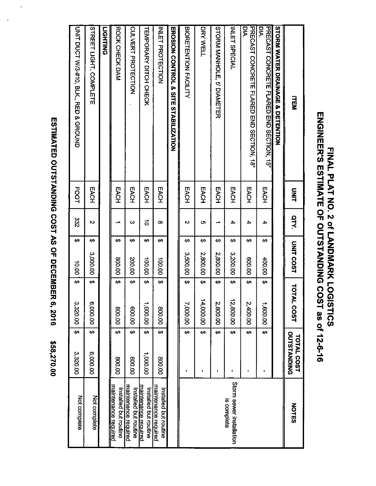| )<br> <br> <br>I                                   |  |
|----------------------------------------------------|--|
| こうり ろうこうこうきりこう うらりこ てら クラ ファクロミサロ<br>ノハー<br>a<br>1 |  |
| こくこ りくこく                                           |  |
| .<br>(                                             |  |

|                                                      | \$58,270.00                      | R 6, 2016                        |                                 |                |             | ESTIMATED OUTSTANDING COST AS OF DECEMBE                 |
|------------------------------------------------------|----------------------------------|----------------------------------|---------------------------------|----------------|-------------|----------------------------------------------------------|
| Not complete                                         | ↔<br>3,320.00                    | ↔<br>3,320.00                    | 00'01                           | 332<br>↔       | <b>FOOT</b> | <b>CMLT DUOL WA#10, BLK, AFD</b><br>& GROUND             |
| Not complete                                         | $\overline{6}$<br>6,000.00       | $\Theta$<br>6,000.00             | 3,000.00                        | Z<br>₩         | EACH        | <b>STREET LIGHT, COMPLETE</b>                            |
|                                                      |                                  |                                  |                                 |                |             | <b>LIGHTING</b>                                          |
| <u>maintenance required</u><br>Installed but routine | ୫<br>00'008                      | $\boldsymbol{\varphi}$<br>00'008 | 00'008                          | ∸<br>မာ        | EACH        | ROCK CHECK DAM                                           |
| <u>maintenance required</u><br>Installed but routine | ↔<br>00'009                      | ↔<br>00'009                      | 200.00                          | ω<br>↔         | EACH        | CULVERT PROTECTION                                       |
| naintenance reguired<br>Installed but routine        | G9<br>1,000.00                   | $\bullet$<br>00'000'L            | 100.00                          | $\vec{0}$<br>₩ | EACH        | HEMPORARY DITCH CHECK                                    |
| maintenance required<br>Installed but routine        | €9<br>00'008                     | ↔<br>800.00                      | 100.00                          | œ<br>₩         | EACH        | <b>INLET PROTECTION</b>                                  |
|                                                      |                                  |                                  |                                 |                |             | <b>EROSON CONTROL &amp; SITE</b><br><b>STABILIZATION</b> |
|                                                      | ക<br>٠                           | ↔<br>7,000.00                    | 3,500.00                        | $\sim$<br>↔    | <b>EACH</b> | BIORETENTION FACILITY                                    |
|                                                      | $\overline{G}$<br>٠              | ↔<br>14,000.00                   | 2,800.00                        | O٦<br>↮        | EACH        | DRY WELL                                                 |
|                                                      | ⊕<br>J.                          | ↔<br>2,800.00                    | 2,800.00                        | ∸<br>↮         | EACH        | STORM MANHOLE,<br><b>5'DIAMETER</b>                      |
| Storm sewer installation<br>is complete              | $\overline{ }$<br>٠              | ↔<br>12,800.00                   | 3,200.00                        | 4<br>↔         | EACH        | INLET SPECIAL                                            |
|                                                      | $\overline{v}$<br>٠              | ↔<br>2,400.00                    | 00'009                          | 4<br>↔         | EACH        | PAECA21 CONCRETE FLARED END 2ECHON, 18.<br>DК            |
|                                                      | ↔<br>ı,                          | ŧ٩<br>1,600.00                   | 400.00                          | 4<br>↔         | EACH        | PRECAST CONCRETE FLARED END SECTION, 15"<br>Dk           |
|                                                      |                                  |                                  |                                 |                |             | STORM WATER DEANNAGE & DETENTION                         |
| <b>NOTES</b>                                         | OUTSTANDING<br><b>TOTAL COST</b> | <b>TOTAL COST</b>                | <b>UNIT COST</b>                | <b>QTY.</b>    | <b>ENIT</b> | <b>HEN</b>                                               |
|                                                      |                                  | <b>GISTICS</b>                   | FINAL PLAH NO. 2 of LANDWARK LO |                |             | ENGINEER'S ESTIMATE OF OCTSTANDING COST as of 12-6-16    |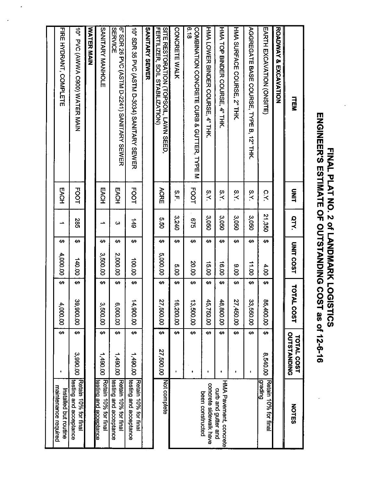| $\begin{array}{c} \hline \text{I} \text{ } \pi \text{I} \text{ } \Delta \text{I} \text{ } \Delta \text{I} \text{ } \alpha \text{ } \alpha \text{ } \alpha \text{ } \alpha \text{ } \beta \text{ } \Delta \text{ } \lambda \text{ } \alpha \text{ } \alpha \text{ } \alpha \text{ } \alpha \text{ } \alpha \text{ } \alpha \text{ } \alpha \text{ } \alpha \text{ } \alpha \text{ } \alpha \text{ } \alpha \text{ } \alpha \text{ } \alpha \text{ } \alpha \text{ } \alpha \text{ } \alpha \text{ } \alpha \text{ } \alpha \text{ } \alpha \text{ } \alpha \text{ } \alpha \text{ }$<br>그 시 및 프<br>$\left  \frac{5}{2} \right $<br>│ ಔ │ ፩ │ <b>≥</b> │   금<br>미 는 ㅣ ;;; ㅣ<br>SOIL, LAWN SEED,<br>ZATION)<br>2034) SANITARY SEWER<br>241) SANITARY SEWER<br>241) SANITARY SEWER<br>$\frac{4}{5}$ $\frac{8}{10}$ $\frac{1}{2}$<br>ER MAIN<br>$\begin{array}{ c c c }\n\hline\n\text{F} & \text{F} & \text{F} & \text{F} \\ \hline\n\text{F} & \text{F} & \text{F} & \text{F} & \text{F} \\ \hline\n\text{F} & \text{F} & \text{F} & \text{F} & \text{F} \\ \hline\n\text{F} & \text{F} & \text{F} & \text{F} & \text{F} & \text{F} \\ \hline\n\text{F} & \text{F} & \text{F} & \text{F} & \text{F} & \text{F} & \text{F} \\ \hline\n\text{F} & \text{F} & \text{F} & \text$<br>드ដ<br>2 있 |  |  |
|----------------------------------------------------------------------------------------------------------------------------------------------------------------------------------------------------------------------------------------------------------------------------------------------------------------------------------------------------------------------------------------------------------------------------------------------------------------------------------------------------------------------------------------------------------------------------------------------------------------------------------------------------------------------------------------------------------------------------------------------------------------------------------------------------------------------------------------------------------------------------------------------------------------------------------------------------------------------------------------------------------------------------------------------------------------------------------------------------------------------------------------------------------------------------------------------------------------------------------------------------------------------------------------|--|--|
| 2-6-10<br>SAC-10<br>SLEATOOST<br>SLEATOOST<br>SLEATOOST<br>SLEATOOST<br>SLEATOOST<br>COTAL COST<br>COTAL COST<br>COTAL COST<br>COTAL COST<br>COTAL COST<br>COTAL COST<br>CONGER SUSICOST<br>CONGER SUSIC (REGELER 10% for final<br>CONGER SUSIC (REGELER 10<br><u> 1 i i matematika da shekara 1 i ili matematika da shekara 1 i ili matematika da shekara 1 i ili matematika d</u>                                                                                                                                                                                                                                                                                                                                                                                                                                                                                                                                                                                                                                                                                                                                                                                                                                                                                                    |  |  |

# G) י<br>D. of<br>O<br>O<br>C<br>C<br>C 1<br>1 ≦ <u>ክ</u> g | 50<br>g | 50 d <u>ັດ</u> ທັ ې<br>÷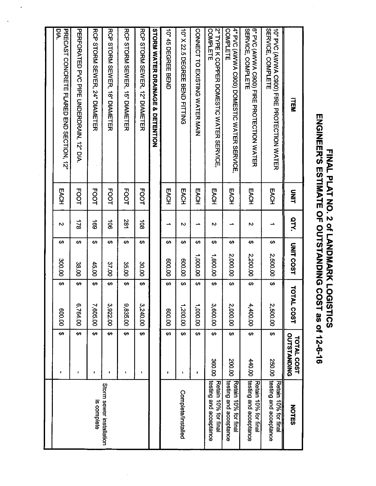| <b>ENGINER'S ESTIMATE OF OUTSTANDING COS</b><br><b>FINAL PLAT NO: 2 04 LANDARK LOGISTICS</b> |             |                |   |                  |       |             | $1$ as of 12-6-16                |                                                |
|----------------------------------------------------------------------------------------------|-------------|----------------|---|------------------|-------|-------------|----------------------------------|------------------------------------------------|
| <b>TEM</b>                                                                                   | <b>SHIT</b> | arv.           |   | <b>UNIT COST</b> | TOTAL | <b>COST</b> | OUTSTANDING<br><b>TOTAL COST</b> | <b>NOTES</b>                                   |
| <b>SERVICE, COMPLETE</b><br>10" PVC (AWWA C3000) FIRE PROTECTION WATER                       | EACH        |                | ↮ | 2,500.00         | ₩     | 2,500.00    | ₩<br>250.00                      | testing and acceptance<br>Retain 10% for final |
| <b>SERVICE, COMPLETE</b><br>6" PVC (AWWA C900) FIRE PROTECTION WATER                         | EACH        | N              | ₩ | 2,200.00         | ₩     | 4,400.00    | ↔<br><b>440.00</b>               | testing and acceptance<br>Retain 10% for final |
| 4" PVC (AWWA C900) DOMESTIC WATER SERVICE.<br>COMPLETE                                       | EACH        |                | ↮ | 2,000.00         | ↔     | 2,000.00    | ↔<br>200.00                      | Retain 10% for final<br>testing and acceptance |
| <b>2" TYPE K COPPER DOMESTIC MATER SERVICE</b><br>COMPLETE                                   | EACH        | Z              | ↔ | 1,800.00         | ୫     | 3,600.00    | €<br>360.00                      | Retain 10% for final<br>testing and acceptance |
| CONNECT TO EXISTING WATER MAIN                                                               | EACH        | $\rightarrow$  | ↔ | 00.000,1         | ₩     | 1,000.00    | ↔<br>$\blacksquare$              |                                                |
| 10" X 22: 5 DEGREE BEND FITTING                                                              | EACH        | Z              | ↔ | 00.00            | ↔     | 1,200.00    | ↔<br>٠                           | Complete/Installed                             |
| 10" 45 DEGREE BEND                                                                           | EACH        | ∸              | ↮ | 00'009           | မာ    | 00.008      | ₩<br>$\pmb{\ast}$                |                                                |
| <b>STORM WATER DRAINAGE</b><br>ço<br>DETENTION                                               |             |                |   |                  |       |             |                                  |                                                |
| RCP SLORM SEWEN, 12" DIAMETER                                                                | <b>FOOT</b> | $\overline{5}$ | ₩ | 30.00            | ↔     | 3,240.00    | ക<br>٠                           |                                                |
| KCP 21OKN 2EV/EK, 12, DIYNELER                                                               | <b>FOOT</b> | 281            | ↔ | 35.00            | ↔     | 9,835.00    | ↔<br>٠                           |                                                |
| RCP 21OKN 2EVER, 18, DIAMELER                                                                | <b>FOOT</b> | $\vec{5}$      | ↔ | 37.00            | ₩     | 3,922.00    | ↔                                | Storm sewer installation                       |
| RCP STORM SEMPLY, 24" DIAMETER                                                               | <b>FOOT</b> | <b>a</b>       | ↔ | 45.00            | ↔     | 7,605.00    | ₩<br>$\blacksquare$              | is complete                                    |
| PERFORALED PVO PIPE CNDERDRAIN, 12, DN                                                       | <b>FOOT</b> | $\frac{1}{2}$  | ↔ | 38.00            | ↔     | 6,764.00    | ↔                                |                                                |
| <b>DIA.</b><br>PRECAST CONCRETE FLARED END SECTION, 12"                                      | EACH        | N              | ↔ | 300.00           | ↔     | 00'009      | ↔<br>τ.                          |                                                |
|                                                                                              |             |                |   |                  |       |             |                                  |                                                |

# Ž m mu .<br>ק E MA<br>LAN<br>SH<br>SH<br>Sh o cr<br>C<br>C<br>C<br>C<br>C ≤ | 3<br>≥ |  $\tilde{\mathbf{x}}$ g | 50<br>g | 50 <u>ጋ ດັ</u>  $\overline{\boldsymbol \sigma}$ O M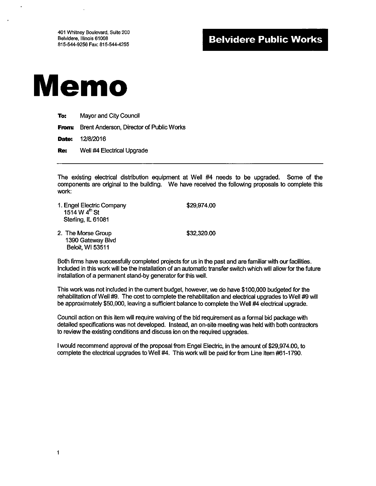401 Whitney Boulevard, Suite 200 Belvidere, Illinois 61008 815-544-9256 Fax: 815-544-4255

# **Belvidere Public Works**



| To: | <b>Mayor and City Council</b>                         |
|-----|-------------------------------------------------------|
|     | <b>From:</b> Brent Anderson, Director of Public Works |
|     | <b>Date: 12/8/2016</b>                                |
| Re: | Well #4 Electrical Upgrade                            |

The existing electrical distribution equipment at Well #4 needs to be upgraded. Some of the components are original to the building. We have received the following proposals to complete this work:

| 1. Engel Electric Company<br>1514 W 4 <sup>th</sup> St<br>Sterling, IL 61081 | \$29,974.00 |
|------------------------------------------------------------------------------|-------------|
| 2. The Morse Group<br>1390 Gateway Blvd<br>Beloit, WI 53511                  | \$32,320.00 |

Both firms have successfully completed projects for us in the past and are familiar with our facilities. Included in this work will be the installation of an automatic transfer switch which will allow for the future installation of a permanent stand-by generator for this well.

This work was not included in the current budget, however, we do have \$100,000 budgeted for the rehabilitation of Well #9. The cost to complete the rehabilitation and electrical upgrades to Well #9 will be approximately \$50,000, leaving a sufficient balance to complete the Well #4 electrical upgrade.

Council action on this item will require waiving of the bid requirement as a formal bid package with detailed specifications was not developed. Instead, an on-site meeting was held with both contractors to review the existing conditions and discuss ion on the required upgrades.

I would recommend approval of the proposal from Engel Electric, in the amount of \$29,974.00, to complete the electrical upgrades to Well #4. This work will be paid for from Line Item #61-1790.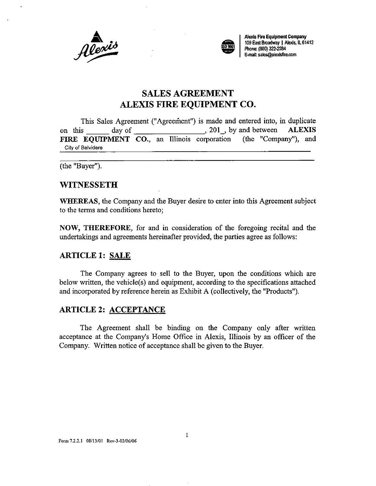



A<br>A , and A , and A , and A , and A , and A , and A , and A , and A , and A , and A , and A , and A , and A , and A , and A , and A , and A , and A , and A , and A , and A , and A , and A , and A , and A , and A , and A , 109 East Broadway | Alexis, IL 61412 Phone: (800) 322-2284 E-mait sales@alexisfirecom

# SALES AGREEMENT ALEXIS FIRE EQUIPMENT CO.

This Sales Agreement (" Agreement") is made and entered into, in duplicate on this  $\frac{1}{201}$  day of  $\frac{1}{201}$ , by and between ALEXIS<br>FIRE EQUIPMENT CO. an Illinois corporation (the "Company"), and FIRE EQUIPMENT CO., an Illinois corporation City of Belvidere

the "Buyer").

#### **WITNESSETH**

WHEREAS, the Company and the Buyer desire to enter into this Agreement subject to the terms and conditions hereto;

NOW, THEREFORE, for and in consideration of the foregoing recital and the undertakings and agreements hereinafter provided, the parties agree as follows:

#### ARTICLE 1: SALE

The Company agrees to sell to the Buyer, upon the conditions which are below written, the vehicle $(s)$  and equipment, according to the specifications attached and incorporated by reference herein as Exhibit A (collectively, the "Products").

#### ARTICLE 2: ACCEPTANCE

The Agreement shall be binding on the Company only after written acceptance at the Company's Home Office in Alexis, Illinois by an officer of the Company. Written notice of acceptance shall be given to the Buyer.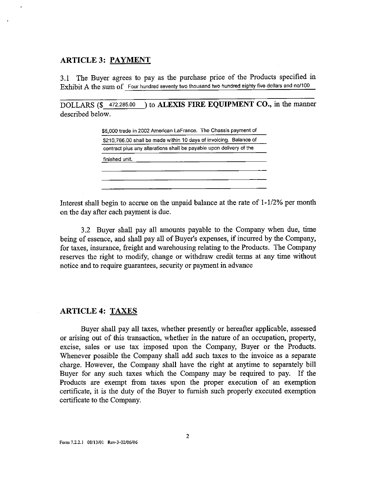#### ARTICLE 3: PAYMENT

3. <sup>1</sup> The Buyer agrees to pay as the purchase price of the Products specified in Exhibit A the sum of Four hundred seventy two thousand two hundred eighty five dollars and no/100

DOLLARS (\$472,285.00) to **ALEXIS FIRE EQUIPMENT CO.**, in the manner described below.

|                |  | \$8,000 trade in 2002 American LaFrance. The Chassis payment of     |  |
|----------------|--|---------------------------------------------------------------------|--|
|                |  | \$210,766.00 shall be made within 10 days of invoicing. Balance of  |  |
|                |  | contract plus any alterations shall be payable upon delivery of the |  |
| finished unit. |  |                                                                     |  |
|                |  |                                                                     |  |
|                |  |                                                                     |  |
|                |  |                                                                     |  |

Interest shall begin to accrue on the unpaid balance at the rate of  $1-1/2%$  per month on the day after each payment is due.

3. 2 Buyer shall pay all amounts payable to the Company when due, time being of essence, and shall pay all of Buyer's expenses, if incurred by the Company, for taxes, insurance, freight and warehousing relating to the Products. The Company reserves the right to modify, change or withdraw credit terms at any time without notice and to require guarantees, security or payment in advance

#### ARTICLE 4: TAXES

Buyer shall pay all taxes, whether presently or hereafter applicable, assessed or arising out of this transaction, whether in the nature of an occupation, property, excise, sales or use tax imposed upon the Company, Buyer or the Products. Whenever possible the Company shall add such taxes to the invoice as a separate charge. However, the Company shall have the right at anytime to separately bill Buyer for any such taxes which the Company may be required to pay. If the Products are exempt from taxes upon the proper execution of an exemption certificate, it is the duty of the Buyer to furnish such properly executed exemption certificate to the Company.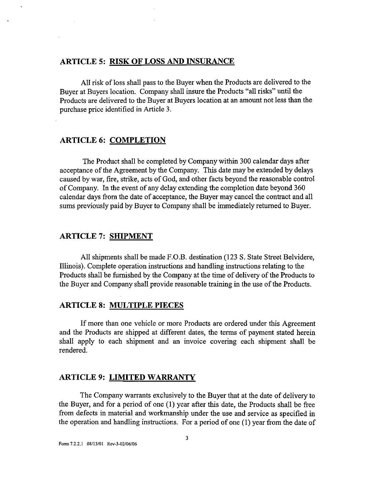#### ARTICLE 5: RISK OF LOSS AND INSURANCE

All risk of loss shall pass to the Buyer when the Products are delivered to the Buyer at Buyers location. Company shall insure the Products " all risks" until the Products are delivered to the Buyer at Buyers location at an amount not less than the purchase price identified in Article 3.

#### ARTICLE 6: COMPLETION

The Product shall be completed by Company within 300 calendar days after acceptance of the Agreement by the Company. This date may be extended by delays caused by war, fire, strike, acts of God, and other facts beyond the reasonable control of Company. In the event of any delay extending the completion date beyond 360 calendar days from the date of acceptance, the Buyer may cancel the contract and all sums previously paid by Buyer to Company shall be immediately returned to Buyer.

#### ARTICLE 7: SHIPMENT

All shipments shall be made F.O.B. destination ( 123 S. State Street Belvidere, Illinois). Complete operation instructions and handling instructions relating to the Products shall be furnished by the Company at the time of delivery of the Products to the Buyer and Company shall provide reasonable training in the use of the Products.

#### ARTICLE 8: MULTIPLE PIECES

If more than one vehicle or more Products are ordered under this Agreement and the Products are shipped at different dates, the terms of payment stated herein shall apply to each shipment and an invoice covering each shipment shall be rendered.

#### ARTICLE 9: LIMITED WARRANTY

The Company warrants exclusively to the Buyer that at the date of delivery to the Buyer, and for <sup>a</sup> period of one ( 1) year after this date, the Products shall be free from defects in material and workmanship under the use and service as specified in the operation and handling instructions. For a period of one (1) year from the date of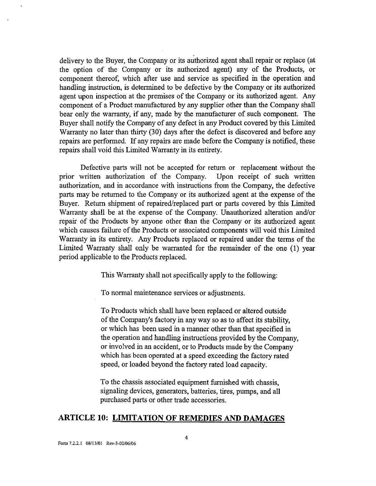delivery to the Buyer, the Company or its authorized agent shall repair or replace (at the option of the Company or its authorized agent) any of the Products, or component thereof, which after use and service as specified in the operation and handling instruction, is determined to be defective by the Company or its authorized agent upon inspection at the premises of the Company or its authorized agent. Any component of a Product manufactured by any supplier other than the Company shall bear only the warranty, if any, made by the manufacturer of such component. The Buyer shall notify the Company of any defect in any Product covered by this Limited Warranty no later than thirty (30) days after the defect is discovered and before any repairs are performed. If any repairs are made before the Company is notified, these repairs shall void this Limited Warranty in its entirety.

Defective parts will not be accepted for return or replacement without the prior written authorization of the Company. Upon receipt of such written authorization, and in accordance with instructions from the Company, the defective parts may be returned to the Company or its authorized agent at the expense of the Buyer. Return shipment of repaired/replaced part or parts covered by this Limited Warranty shall be at the expense of the Company. Unauthorized alteration and/or repair of the Products by anyone other than the Company or its authorized agent which causes failure of the Products or associated components will void this Limited Warranty in its entirety. Any Products replaced or repaired under the terms of the Limited Warranty shall only be warranted for the remainder of the one (1) year period applicable to the Products replaced.

This Warranty shall not specifically apply to the following:

To normal maintenance services or adjustments.

To Products which shall have been replaced or altered outside of the Company's factory in any way so as to affect its stability, or which has been used in a manner other than that specified in the operation and handling instructions provided by the Company, or involved in an accident, or to Products made by the Company which has been operated at a speed exceeding the factory rated speed, or loaded beyond the factory rated load capacity.

To the chassis associated equipment furnished with chassis, signaling devices, generators, batteries, tires, pumps, and all purchased parts or other trade accessories.

#### ARTICLE 10: LIMITATION OF REMEDIES AND DAMAGES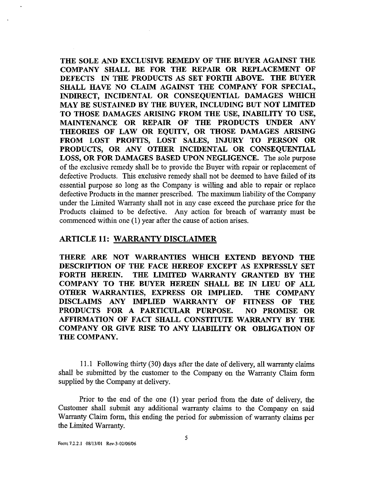THE SOLE AND EXCLUSIVE REMEDY OF THE BUYER AGAINST THE COMPANY SHALL BE FOR THE REPAIR OR REPLACEMENT OF DEFECTS IN THE PRODUCTS AS SET FORTH ABOVE. THE BUYER SHALL HAVE NO CLAIM AGAINST THE COMPANY FOR SPECIAL, INDIRECT, INCIDENTAL OR CONSEQUENTIAL DAMAGES WHICH MAY BE SUSTAINED BY THE BUYER, INCLUDING BUT NOT LIMITED TO THOSE DAMAGES ARISING FROM THE USE, INABILITY TO USE, MAINTENANCE OR REPAIR OF THE PRODUCTS UNDER ANY THEORIES OF LAW OR EQUITY, OR THOSE DAMAGES ARISING FROM LOST PROFITS, LOST SALES, INJURY TO PERSON OR PRODUCTS, OR ANY OTHER INCIDENTAL OR CONSEQUENTIAL LOSS, OR FOR DAMAGES BASED UPON NEGLIGENCE. The sole purpose of the exclusive remedy shall be to provide the Buyer with repair or replacement of defective Products. This exclusive remedy shall not be deemed to have failed of its essential purpose so long as the Company is willing and able to repair or replace defective Products in the manner prescribed. The maximum liability of the Company under the Limited Warranty shall not in any case exceed the purchase price for the Products claimed to be defective. Any action for breach of warranty must be commenced within one (1) year after the cause of action arises.

#### ARTICLE 11: WARRANTY DISCLAIMER

THERE ARE NOT WARRANTIES WHICH EXTEND BEYOND THE DESCRIPTION OF THE FACE HEREOF EXCEPT AS EXPRESSLY SET FORTH HEREIN. THE LIMITED WARRANTY GRANTED BY THE COMPANY TO THE BUYER HEREIN SHALL BE IN LIEU OF ALL OTHER WARRANTIES, EXPRESS OR IMPLIED. THE COMPANY DISCLAIMS ANY IMPLIED WARRANTY OF FITNESS OF THE PRODUCTS FOR A PARTICULAR PURPOSE. NO PROMISE OR AFFIRMATION OF FACT SHALL CONSTITUTE WARRANTY BY THE COMPANY OR GIVE RISE TO ANY LIABILITY OR OBLIGATION OF THE COMPANY.

11. <sup>1</sup> Following thirty( 30) days after the date of delivery, all warranty claims shall be submitted by the customer to the Company on the Warranty Claim form supplied by the Company at delivery.

Prior to the end of the one  $(1)$  year period from the date of delivery, the Customer shall submit any additional warranty claims to the Company on said Warranty Claim form, this ending the period for submission of warranty claims per the Limited Warranty.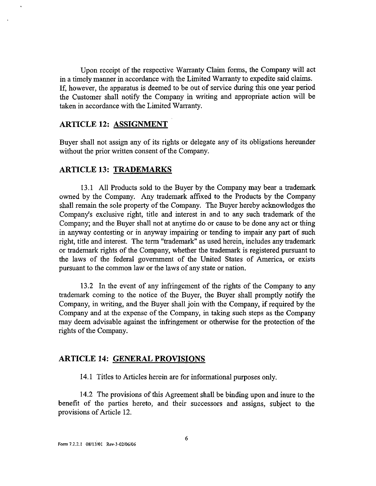Upon receipt of the respective Warranty Claim forms, the Company will act in a timely manner in accordance with the Limited Warranty to expedite said claims. If, however, the apparatus is deemed to be out of service during this one year period the Customer shall notify the Company in writing and appropriate action will be taken in accordance with the Limited Warranty.

#### ARTICLE 12: ASSIGNMENT

Buyer shall not assign any of its rights or delegate any of its obligations hereunder without the prior written consent of the Company.

#### ARTICLE 13: TRADEMARKS

13. <sup>1</sup> All Products sold to the Buyer by the Company may bear <sup>a</sup> trademark owned by the Company. Any trademark affixed to the Products by the Company shall remain the sole property of the Company. The Buyer hereby acknowledges the Company's exclusive right, title and interest in and to any such trademark of the Company; and the Buyer shall not at anytime do or cause to be done any act or thing in anyway contesting or in anyway impairing or tending to impair any part of such right, title and interest. The term "trademark" as used herein, includes any trademark or trademark rights of the Company, whether the trademark is registered pursuant to the laws of the federal government of the United States of America, or exists pursuant to the common law or the laws of any state or nation.

13.2 In the event of any infringement of the rights of the Company to any trademark coming to the notice of the Buyer, the Buyer shall promptly notify the Company, in writing, and the Buyer shall join with the Company, if required by the Company and at the expense of the Company, in taking such steps as the Company may deem advisable against the infringement or otherwise for the protection of the rights of the Company.

#### ARTICLE 14: GENERAL PROVISIONS

14.1 Titles to Articles herein are for informational purposes only.

14.2 The provisions of this Agreement shall be binding upon and inure to the benefit of the parties hereto, and their successors and assigns, subject to the provisions of Article 12.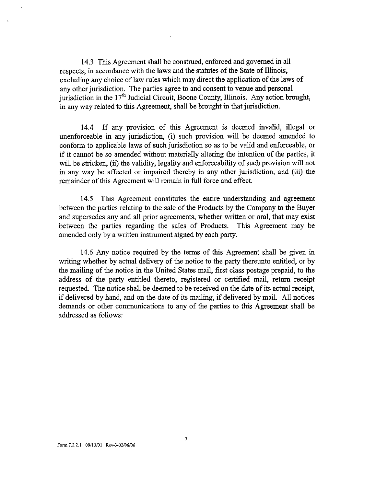14.3 This Agreement shall be construed, enforced and governed in all respects, in accordance with the laws and the statutes of the State of Illinois, excluding any choice of law rules which may direct the application of the laws of any other jurisdiction. The parties agree to and consent to venue and personal jurisdiction in the 17'h Judicial Circuit, Boone County, Illinois. Any action brought, in any way related to this Agreement, shall be brought in that jurisdiction.

14.4 If any provision of this Agreement is deemed invalid, illegal or unenforceable in any jurisdiction, (i) such provision will be deemed amended to conform to applicable laws of such jurisdiction so as to be valid and enforceable, or if it cannot be so amended without materially altering the intention of the parties, it will be stricken, (ii) the validity, legality and enforceability of such provision will not in any way be affected or impaired thereby in any other jurisdiction, and (iii) the remainder of this Agreement will remain in full force and effect.

14. 5 This Agreement constitutes the entire understanding and agreement between the parties relating to the sale of the Products by the Company to the Buyer and supersedes any and all prior agreements, whether written or oral, that may exist between the parties regarding the sales of Products. This Agreement may be amended only by <sup>a</sup> written instrument signed by each party.

14. <sup>6</sup> Any notice required by the terms of this Agreement shall be given in writing whether by actual delivery of the notice to the party thereunto entitled, or by the mailing of the notice in the United States mail, first class postage prepaid, to the address of the party entitled thereto, registered or certified mail, return receipt requested. The notice shall be deemed to be received on the date of its actual receipt, if delivered by hand, and on the date of its mailing, if delivered by mail. All notices demands or other communications to any of the parties to this Agreement shall be addressed as follows: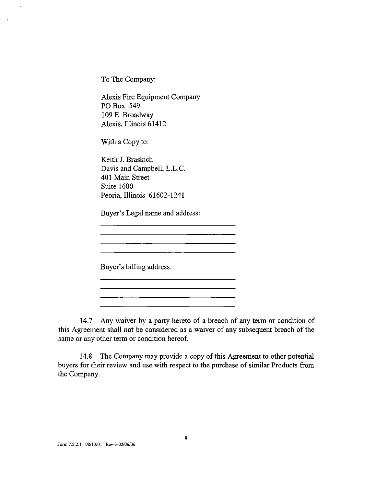To The Company:

 $\ddot{\phantom{a}}$ 

Alexis Fire Equipment Company PO Box 549 109 E. Broadway Alexis, Illinois 61412

With a Copy to:

Keith J. Braskich Davis and Campbell, L.L.C. 401 Main Street Suite 1600 Peoria, Illinois 61602-1241

Buyer's Legal name and address:

<u> 1990 - Johann John Harry Hermes, francuski filozof (</u>

<u> 1989 - Johann Barbara, martxa alemaniar amerikan personal (h. 1989).</u> 

<u> 1980 - Johann Barbara, martxa a</u>

Buyer's billing address:

14.7 Any waiver by a parry hereto of <sup>a</sup> breach of any term or condition of this Agreement shall not be considered as <sup>a</sup> waiver of any subsequent breach of the same or any other term or condition hereof.

14.8 The Company may provide a copy of this Agreement to other potential buyers for their review and use with respect to the purchase of similar Products from the Company.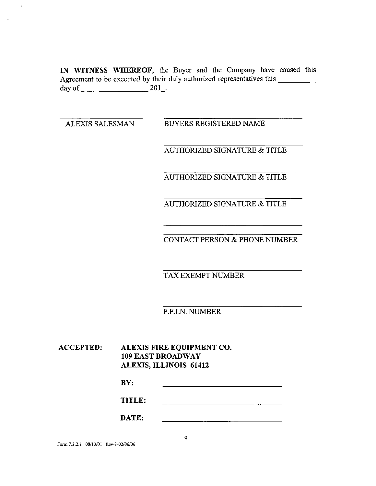IN WITNESS WHEREOF, the Buyer and the Company have caused this Agreement to be executed by their duly authorized representatives this \_\_\_\_\_\_\_\_\_ day of 201\_.

 $\ddot{\phantom{0}}$ 

 $\cdot$ 

ALEXIS SALESMAN BUYERS REGISTERED NAME

AUTHORIZED SIGNATURE & TITLE

AUTHORIZED SIGNATURE & TITLE

AUTHORIZED SIGNATURE & TITLE

CONTACT PERSON& PHONE NUMBER

TAX EXEMPT NUMBER

F.E.I.N. NUMBER

ACCEPTED: ALEXIS FIRE EQUIPMENT CO. 109 EAST BROADWAY ALEXIS, ILLINOIS 61412

| DV.<br>DI. |  |
|------------|--|
|            |  |

TITLE: 

| ₩.<br>DATE: |              |  |
|-------------|--------------|--|
|             | -----<br>--- |  |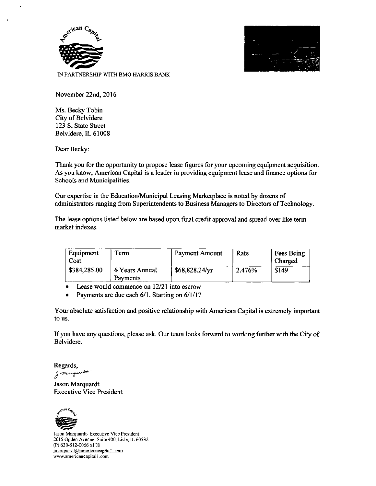



November 22nd, 2016

Ms. Becky Tobin City of Belvidere 123 S. State Street Belvidere, IL 61008

Dear Becky:

Thank you for the opportunity to propose lease figures for your upcoming equipment acquisition. As you know, American Capital is a leader in providing equipment lease and finance options for Schools and Municipalities.

Our expertise in the Education/Municipal Leasing Marketplace is noted by dozens of administrators ranging from Superintendents to Business Managers to Directors of Technology.

The lease options listed below are based upon final credit approval and spread over like term market indexes.

| Equipment<br>Cost | Term                       | Payment Amount         | Rate   | Fees Being<br>Charged |
|-------------------|----------------------------|------------------------|--------|-----------------------|
| \$384,285.00      | 6 Years Annual<br>Payments | $$68,828.24/\text{yr}$ | 2.476% | \$149                 |

Lease would commence on 12/21 into escrow  $\bullet$ 

Payments are due each 6/1. Starting on 6/1/17  $\bullet$ 

Your absolute satisfaction and positive relationship with American Capital is extremely important to us.

If you have any questions, please ask. Our team looks forward to working further with the City of Belvidere.

Regards, J marguerate

Jason Marquardt Executive Vice President



Jason Marquardt- Executive Vice President 2015 Ogden Avenue, Suite 400, Lisle, IL 60532 (P) 630-512-0066 x118 imarquardt@americancapital1.com www.americancapital1.com